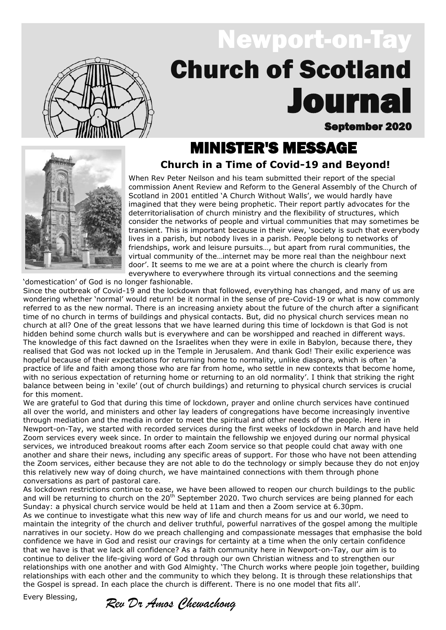

# September 2020 **Journa** Newport-on-Tay Church of Scotland

# **Church in a Time of Covid-19 and Beyond!** MINISTER'S MESSAGE



When Rev Peter Neilson and his team submitted their report of the special commission Anent Review and Reform to the General Assembly of the Church of Scotland in 2001 entitled 'A Church Without Walls', we would hardly have imagined that they were being prophetic. Their report partly advocates for the deterritorialisation of church ministry and the flexibility of structures, which consider the networks of people and virtual communities that may sometimes be transient. This is important because in their view, 'society is such that everybody lives in a parish, but nobody lives in a parish. People belong to networks of friendships, work and leisure pursuits…, but apart from rural communities, the virtual community of the…internet may be more real than the neighbour next door'. It seems to me we are at a point where the church is clearly from everywhere to everywhere through its virtual connections and the seeming

'domestication' of God is no longer fashionable.

Since the outbreak of Covid-19 and the lockdown that followed, everything has changed, and many of us are wondering whether 'normal' would return! be it normal in the sense of pre-Covid-19 or what is now commonly referred to as the new normal. There is an increasing anxiety about the future of the church after a significant time of no church in terms of buildings and physical contacts. But, did no physical church services mean no church at all? One of the great lessons that we have learned during this time of lockdown is that God is not hidden behind some church walls but is everywhere and can be worshipped and reached in different ways. The knowledge of this fact dawned on the Israelites when they were in exile in Babylon, because there, they realised that God was not locked up in the Temple in Jerusalem. And thank God! Their exilic experience was hopeful because of their expectations for returning home to normality, unlike diaspora, which is often 'a practice of life and faith among those who are far from home, who settle in new contexts that become home, with no serious expectation of returning home or returning to an old normality'. I think that striking the right balance between being in 'exile' (out of church buildings) and returning to physical church services is crucial for this moment.

We are grateful to God that during this time of lockdown, prayer and online church services have continued all over the world, and ministers and other lay leaders of congregations have become increasingly inventive through mediation and the media in order to meet the spiritual and other needs of the people. Here in Newport-on-Tay, we started with recorded services during the first weeks of lockdown in March and have held Zoom services every week since. In order to maintain the fellowship we enjoyed during our normal physical services, we introduced breakout rooms after each Zoom service so that people could chat away with one another and share their news, including any specific areas of support. For those who have not been attending the Zoom services, either because they are not able to do the technology or simply because they do not enjoy this relatively new way of doing church, we have maintained connections with them through phone conversations as part of pastoral care.

As lockdown restrictions continue to ease, we have been allowed to reopen our church buildings to the public and will be returning to church on the 20<sup>th</sup> September 2020. Two church services are being planned for each Sunday: a physical church service would be held at 11am and then a Zoom service at 6.30pm.

As we continue to investigate what this new way of life and church means for us and our world, we need to maintain the integrity of the church and deliver truthful, powerful narratives of the gospel among the multiple narratives in our society. How do we preach challenging and compassionate messages that emphasise the bold confidence we have in God and resist our cravings for certainty at a time when the only certain confidence that we have is that we lack all confidence? As a faith community here in Newport-on-Tay, our aim is to continue to deliver the life-giving word of God through our own Christian witness and to strengthen our relationships with one another and with God Almighty. 'The Church works where people join together, building relationships with each other and the community to which they belong. It is through these relationships that the Gospel is spread. In each place the church is different. There is no one model that fits all'.

Every Blessing,

*Rev Dr Amos Chewachong*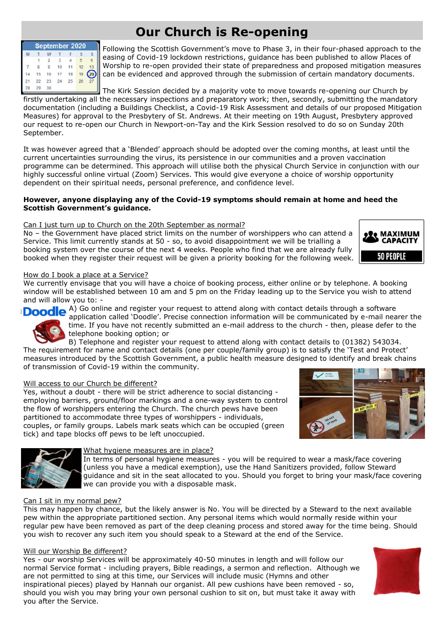# **Our Church is Re-opening**

| September 2020 |    |         |    |    |    |  |
|----------------|----|---------|----|----|----|--|
| M              |    |         |    |    |    |  |
|                |    | э       |    |    |    |  |
|                |    |         | 10 |    |    |  |
|                | 5  | 16<br>× |    | 18 | 19 |  |
|                | 22 | 23      | 24 | 25 |    |  |
|                |    | 30      |    |    |    |  |

Following the Scottish Government's move to Phase 3, in their four-phased approach to the easing of Covid-19 lockdown restrictions, guidance has been published to allow Places of Worship to re-open provided their state of preparedness and proposed mitigation measures can be evidenced and approved through the submission of certain mandatory documents.

The Kirk Session decided by a majority vote to move towards re-opening our Church by firstly undertaking all the necessary inspections and preparatory work; then, secondly, submitting the mandatory documentation (including a Buildings Checklist, a Covid-19 Risk Assessment and details of our proposed Mitigation Measures) for approval to the Presbytery of St. Andrews. At their meeting on 19th August, Presbytery approved our request to re-open our Church in Newport-on-Tay and the Kirk Session resolved to do so on Sunday 20th September.

It was however agreed that a 'Blended' approach should be adopted over the coming months, at least until the current uncertainties surrounding the virus, its persistence in our communities and a proven vaccination programme can be determined. This approach will utilise both the physical Church Service in conjunction with our highly successful online virtual (Zoom) Services. This would give everyone a choice of worship opportunity dependent on their spiritual needs, personal preference, and confidence level.

### **However, anyone displaying any of the Covid-19 symptoms should remain at home and heed the Scottish Government's guidance.**

## Can I just turn up to Church on the 20th September as normal?

No – the Government have placed strict limits on the number of worshippers who can attend a Service. This limit currently stands at 50 - so, to avoid disappointment we will be trialling a booking system over the course of the next 4 weeks. People who find that we are already fully booked when they register their request will be given a priority booking for the following week.



### How do I book a place at a Service?

We currently envisage that you will have a choice of booking process, either online or by telephone. A booking window will be established between 10 am and 5 pm on the Friday leading up to the Service you wish to attend and will allow you to: -

**Doodle** A) Go online and register your request to attend along with contact details through a software

application called 'Doodle'. Precise connection information will be communicated by e-mail nearer the time. If you have not recently submitted an e-mail address to the church - then, please defer to the telephone booking option; or

B) Telephone and register your request to attend along with contact details to (01382) 543034. The requirement for name and contact details (one per couple/family group) is to satisfy the 'Test and Protect' measures introduced by the Scottish Government, a public health measure designed to identify and break chains of transmission of Covid-19 within the community.

## Will access to our Church be different?

Yes, without a doubt - there will be strict adherence to social distancing employing barriers, ground/floor markings and a one-way system to control the flow of worshippers entering the Church. The church pews have been partitioned to accommodate three types of worshippers - individuals, couples, or family groups. Labels mark seats which can be occupied (green tick) and tape blocks off pews to be left unoccupied.





## What hygiene measures are in place?

In terms of personal hygiene measures - you will be required to wear a mask/face covering (unless you have a medical exemption), use the Hand Sanitizers provided, follow Steward guidance and sit in the seat allocated to you. Should you forget to bring your mask/face covering we can provide you with a disposable mask.

## Can I sit in my normal pew?

This may happen by chance, but the likely answer is No. You will be directed by a Steward to the next available pew within the appropriate partitioned section. Any personal items which would normally reside within your regular pew have been removed as part of the deep cleaning process and stored away for the time being. Should you wish to recover any such item you should speak to a Steward at the end of the Service.

### Will our Worship Be different?

Yes - our worship Services will be approximately 40-50 minutes in length and will follow our normal Service format - including prayers, Bible readings, a sermon and reflection. Although we are not permitted to sing at this time, our Services will include music (Hymns and other inspirational pieces) played by Hannah our organist. All pew cushions have been removed - so, should you wish you may bring your own personal cushion to sit on, but must take it away with you after the Service.

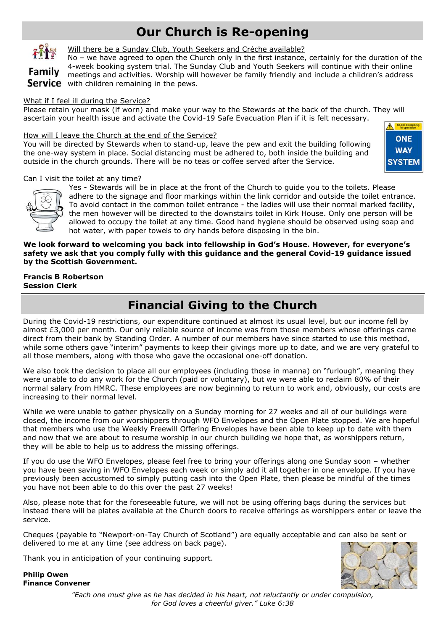# **Our Church is Re-opening**



Will there be a Sunday Club, Youth Seekers and Crèche available?

No – we have agreed to open the Church only in the first instance, certainly for the duration of the 4-week booking system trial. The Sunday Club and Youth Seekers will continue with their online **Family** *H*-Week DOOKING System than the Junuary Clab and Testan Decision on the children's address Service with children remaining in the pews.

### What if I feel ill during the Service?

Please retain your mask (if worn) and make your way to the Stewards at the back of the church. They will ascertain your health issue and activate the Covid-19 Safe Evacuation Plan if it is felt necessary.

### How will I leave the Church at the end of the Service?

You will be directed by Stewards when to stand-up, leave the pew and exit the building following the one-way system in place. Social distancing must be adhered to, both inside the building and outside in the church grounds. There will be no teas or coffee served after the Service.



### Can I visit the toilet at any time?



Yes - Stewards will be in place at the front of the Church to guide you to the toilets. Please adhere to the signage and floor markings within the link corridor and outside the toilet entrance. To avoid contact in the common toilet entrance - the ladies will use their normal marked facility, the men however will be directed to the downstairs toilet in Kirk House. Only one person will be allowed to occupy the toilet at any time. Good hand hygiene should be observed using soap and hot water, with paper towels to dry hands before disposing in the bin.

### **We look forward to welcoming you back into fellowship in God's House. However, for everyone's safety we ask that you comply fully with this guidance and the general Covid-19 guidance issued by the Scottish Government.**

## **Francis B Robertson Session Clerk**

## **Financial Giving to the Church**

During the Covid-19 restrictions, our expenditure continued at almost its usual level, but our income fell by almost £3,000 per month. Our only reliable source of income was from those members whose offerings came direct from their bank by Standing Order. A number of our members have since started to use this method, while some others gave "interim" payments to keep their givings more up to date, and we are very grateful to all those members, along with those who gave the occasional one-off donation.

We also took the decision to place all our employees (including those in manna) on "furlough", meaning they were unable to do any work for the Church (paid or voluntary), but we were able to reclaim 80% of their normal salary from HMRC. These employees are now beginning to return to work and, obviously, our costs are increasing to their normal level.

While we were unable to gather physically on a Sunday morning for 27 weeks and all of our buildings were closed, the income from our worshippers through WFO Envelopes and the Open Plate stopped. We are hopeful that members who use the Weekly Freewill Offering Envelopes have been able to keep up to date with them and now that we are about to resume worship in our church building we hope that, as worshippers return, they will be able to help us to address the missing offerings.

If you do use the WFO Envelopes, please feel free to bring your offerings along one Sunday soon – whether you have been saving in WFO Envelopes each week or simply add it all together in one envelope. If you have previously been accustomed to simply putting cash into the Open Plate, then please be mindful of the times you have not been able to do this over the past 27 weeks!

Also, please note that for the foreseeable future, we will not be using offering bags during the services but instead there will be plates available at the Church doors to receive offerings as worshippers enter or leave the service.

Cheques (payable to "Newport-on-Tay Church of Scotland") are equally acceptable and can also be sent or delivered to me at any time (see address on back page).

Thank you in anticipation of your continuing support.





*"Each one must give as he has decided in his heart, not reluctantly or under compulsion, for God loves a cheerful giver." Luke 6:38*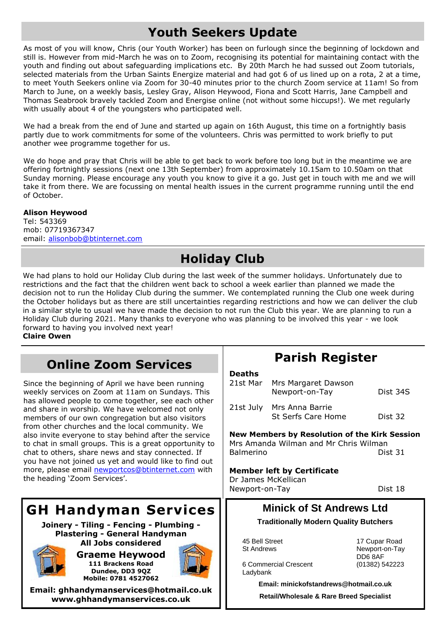# **Youth Seekers Update**

As most of you will know, Chris (our Youth Worker) has been on furlough since the beginning of lockdown and still is. However from mid-March he was on to Zoom, recognising its potential for maintaining contact with the youth and finding out about safeguarding implications etc. By 20th March he had sussed out Zoom tutorials, selected materials from the Urban Saints Energize material and had got 6 of us lined up on a rota, 2 at a time, to meet Youth Seekers online via Zoom for 30-40 minutes prior to the church Zoom service at 11am! So from March to June, on a weekly basis, Lesley Gray, Alison Heywood, Fiona and Scott Harris, Jane Campbell and Thomas Seabrook bravely tackled Zoom and Energise online (not without some hiccups!). We met regularly with usually about 4 of the youngsters who participated well.

We had a break from the end of June and started up again on 16th August, this time on a fortnightly basis partly due to work commitments for some of the volunteers. Chris was permitted to work briefly to put another wee programme together for us.

We do hope and pray that Chris will be able to get back to work before too long but in the meantime we are offering fortnightly sessions (next one 13th September) from approximately 10.15am to 10.50am on that Sunday morning. Please encourage any youth you know to give it a go. Just get in touch with me and we will take it from there. We are focussing on mental health issues in the current programme running until the end of October.

## **Alison Heywood**

Tel: 543369 mob: 07719367347 email: alisonbob@btinternet.com

# **Holiday Club**

We had plans to hold our Holiday Club during the last week of the summer holidays. Unfortunately due to restrictions and the fact that the children went back to school a week earlier than planned we made the decision not to run the Holiday Club during the summer. We contemplated running the Club one week during the October holidays but as there are still uncertainties regarding restrictions and how we can deliver the club in a similar style to usual we have made the decision to not run the Club this year. We are planning to run a Holiday Club during 2021. Many thanks to everyone who was planning to be involved this year - we look forward to having you involved next year!

**Claire Owen**

# **Online Zoom Services**

Since the beginning of April we have been running weekly services on Zoom at 11am on Sundays. This has allowed people to come together, see each other and share in worship. We have welcomed not only members of our own congregation but also visitors from other churches and the local community. We also invite everyone to stay behind after the service to chat in small groups. This is a great opportunity to chat to others, share news and stay connected. If you have not joined us yet and would like to find out more, please email [newportcos@btinternet.com](mailto:newportcos@btinternet.com) with the heading 'Zoom Services'.

# **GH Handyman Services**

**Joinery - Tiling - Fencing - Plumbing - Plastering - General Handyman All Jobs considered**



**Graeme Heywood 111 Brackens Road Dundee, DD3 9QZ Mobile: 0781 4527062**



**Email: ghhandymanservices@hotmail.co.uk www.ghhandymanservices.co.uk**

# **Parish Register**

### **Deaths**

|           | 21st Mar Mrs Margaret Dawson                         |          |
|-----------|------------------------------------------------------|----------|
|           | Newport-on-Tay                                       | Dist 34S |
| 21st July | Mrs Anna Barrie                                      |          |
|           | <b>St Serfs Care Home</b>                            | Dist 32  |
|           | <b>New Members by Resolution of the Kirk Session</b> |          |
|           |                                                      |          |
|           |                                                      |          |
| Balmerino | Mrs Amanda Wilman and Mr Chris Wilman                | Dist 31  |

### **Member left by Certificate** Dr James McKellican

Newport-on-Tay Dist 18

## **Minick of St Andrews Ltd**

**Traditionally Modern Quality Butchers**

45 Bell Street 17 Cupar Road

 6 Commercial Crescent (01382) 542223 Ladybank

St Andrews Newport-on-Tay DD6 8AF

**Email: minickofstandrews@hotmail.co.uk Retail/Wholesale & Rare Breed Specialist**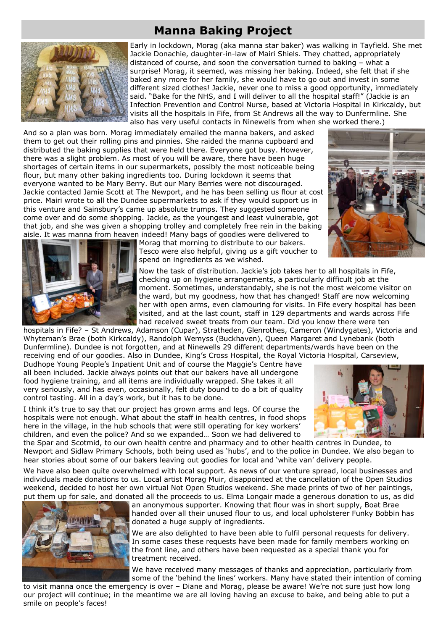## **Manna Baking Project**



Early in lockdown, Morag (aka manna star baker) was walking in Tayfield. She met Jackie Donachie, daughter-in-law of Mairi Shiels. They chatted, appropriately distanced of course, and soon the conversation turned to baking – what a surprise! Morag, it seemed, was missing her baking. Indeed, she felt that if she baked any more for her family, she would have to go out and invest in some different sized clothes! Jackie, never one to miss a good opportunity, immediately said. "Bake for the NHS, and I will deliver to all the hospital staff!" (Jackie is an Infection Prevention and Control Nurse, based at Victoria Hospital in Kirkcaldy, but visits all the hospitals in Fife, from St Andrews all the way to Dunfermline. She also has very useful contacts in Ninewells from when she worked there.)

And so a plan was born. Morag immediately emailed the manna bakers, and asked them to get out their rolling pins and pinnies. She raided the manna cupboard and distributed the baking supplies that were held there. Everyone got busy. However, there was a slight problem. As most of you will be aware, there have been huge shortages of certain items in our supermarkets, possibly the most noticeable being flour, but many other baking ingredients too. During lockdown it seems that everyone wanted to be Mary Berry. But our Mary Berries were not discouraged. Jackie contacted Jamie Scott at The Newport, and he has been selling us flour at cost price. Mairi wrote to all the Dundee supermarkets to ask if they would support us in this venture and Sainsbury's came up absolute trumps. They suggested someone come over and do some shopping. Jackie, as the youngest and least vulnerable, got that job, and she was given a shopping trolley and completely free rein in the baking aisle. It was manna from heaven indeed! Many bags of goodies were delivered to





Morag that morning to distribute to our bakers. Tesco were also helpful, giving us a gift voucher to spend on ingredients as we wished.

Now the task of distribution. Jackie's job takes her to all hospitals in Fife, checking up on hygiene arrangements, a particularly difficult job at the moment. Sometimes, understandably, she is not the most welcome visitor on the ward, but my goodness, how that has changed! Staff are now welcoming her with open arms, even clamouring for visits. In Fife every hospital has been visited, and at the last count, staff in 129 departments and wards across Fife had received sweet treats from our team. Did you know there were ten

hospitals in Fife? – St Andrews, Adamson (Cupar), Stratheden, Glenrothes, Cameron (Windygates), Victoria and Whyteman's Brae (both Kirkcaldy), Randolph Wemyss (Buckhaven), Queen Margaret and Lynebank (both Dunfermline). Dundee is not forgotten, and at Ninewells 29 different departments/wards have been on the receiving end of our goodies. Also in Dundee, King's Cross Hospital, the Royal Victoria Hospital, Carseview,

Dudhope Young People's Inpatient Unit and of course the Maggie's Centre have all been included. Jackie always points out that our bakers have all undergone food hygiene training, and all items are individually wrapped. She takes it all very seriously, and has even, occasionally, felt duty bound to do a bit of quality control tasting. All in a day's work, but it has to be done.

I think it's true to say that our project has grown arms and legs. Of course the hospitals were not enough. What about the staff in health centres, in food shops here in the village, in the hub schools that were still operating for key workers' children, and even the police? And so we expanded… Soon we had delivered to



the Spar and Scotmid, to our own health centre and pharmacy and to other health centres in Dundee, to Newport and Sidlaw Primary Schools, both being used as 'hubs', and to the police in Dundee. We also began to hear stories about some of our bakers leaving out goodies for local and 'white van' delivery people.

We have also been quite overwhelmed with local support. As news of our venture spread, local businesses and individuals made donations to us. Local artist Morag Muir, disappointed at the cancellation of the Open Studios weekend, decided to host her own virtual Not Open Studios weekend. She made prints of two of her paintings, put them up for sale, and donated all the proceeds to us. Elma Longair made a generous donation to us, as did



an anonymous supporter. Knowing that flour was in short supply, Boat Brae handed over all their unused flour to us, and local upholsterer Funky Bobbin has donated a huge supply of ingredients.

We are also delighted to have been able to fulfil personal requests for delivery. In some cases these requests have been made for family members working on the front line, and others have been requested as a special thank you for treatment received.

We have received many messages of thanks and appreciation, particularly from some of the 'behind the lines' workers. Many have stated their intention of coming

to visit manna once the emergency is over – Diane and Morag, please be aware! We're not sure just how long our project will continue; in the meantime we are all loving having an excuse to bake, and being able to put a smile on people's faces!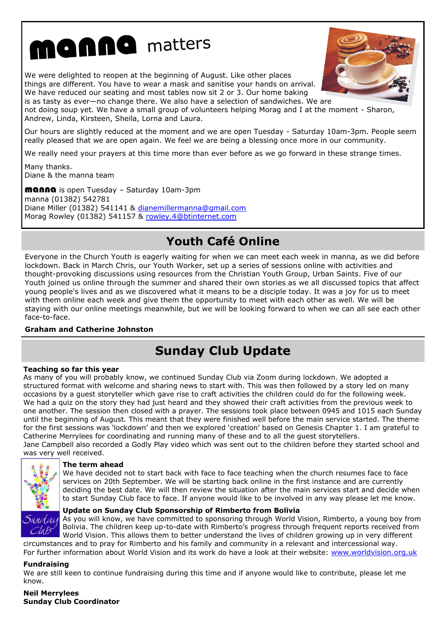# nanna matters

We were delighted to reopen at the beginning of August. Like other places things are different. You have to wear a mask and sanitise your hands on arrival. We have reduced our seating and most tables now sit 2 or 3. Our home baking is as tasty as ever—no change there. We also have a selection of sandwiches. We are



not doing soup yet. We have a small group of volunteers helping Morag and I at the moment - Sharon, Andrew, Linda, Kirsteen, Sheila, Lorna and Laura.

Our hours are slightly reduced at the moment and we are open Tuesday - Saturday 10am-3pm. People seem really pleased that we are open again. We feel we are being a blessing once more in our community.

We really need your prayers at this time more than ever before as we go forward in these strange times.

Many thanks. Diane & the manna team

manna is open Tuesday – Saturday 10am-3pm manna (01382) 542781 Diane Miller (01382) 541141 & dianemillermanna@gmail.com Morag Rowley (01382) 541157 & rowley.4@btinternet.com

# **Youth Café Online**

Everyone in the Church Youth is eagerly waiting for when we can meet each week in manna, as we did before lockdown. Back in March Chris, our Youth Worker, set up a series of sessions online with activities and thought-provoking discussions using resources from the Christian Youth Group, Urban Saints. Five of our Youth joined us online through the summer and shared their own stories as we all discussed topics that affect young people's lives and as we discovered what it means to be a disciple today. It was a joy for us to meet with them online each week and give them the opportunity to meet with each other as well. We will be staying with our online meetings meanwhile, but we will be looking forward to when we can all see each other face-to-face.

## **Graham and Catherine Johnston**

# **Sunday Club Update**

## **Teaching so far this year**

As many of you will probably know, we continued Sunday Club via Zoom during lockdown. We adopted a structured format with welcome and sharing news to start with. This was then followed by a story led on many occasions by a guest storyteller which gave rise to craft activities the children could do for the following week. We had a quiz on the story they had just heard and they showed their craft activities from the previous week to one another. The session then closed with a prayer. The sessions took place between 0945 and 1015 each Sunday until the beginning of August. This meant that they were finished well before the main service started. The theme for the first sessions was 'lockdown' and then we explored 'creation' based on Genesis Chapter 1. I am grateful to Catherine Merrylees for coordinating and running many of these and to all the guest storytellers. Jane Campbell also recorded a Godly Play video which was sent out to the children before they started school and was very well received.



## **The term ahead**

We have decided not to start back with face to face teaching when the church resumes face to face services on 20th September. We will be starting back online in the first instance and are currently deciding the best date. We will then review the situation after the main services start and decide when to start Sunday Club face to face. If anyone would like to be involved in any way please let me know.

## **Update on Sunday Club Sponsorship of Rimberto from Bolivia**

As you will know, we have committed to sponsoring through World Vision, Rimberto, a young boy from Bolivia. The children keep up-to-date with Rimberto's progress through frequent reports received from World Vision. This allows them to better understand the lives of children growing up in very different circumstances and to pray for Rimberto and his family and community in a relevant and intercessional way.

For further information about World Vision and its work do have a look at their website: www.worldvision.org.uk

## **Fundraising**

We are still keen to continue fundraising during this time and if anyone would like to contribute, please let me know.

## **Neil Merrylees Sunday Club Coordinator**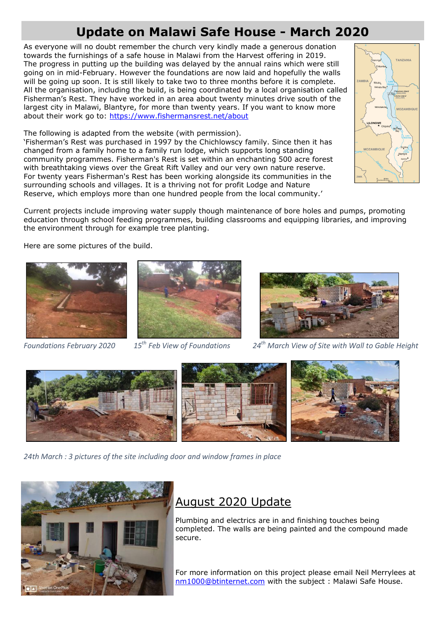# **Update on Malawi Safe House - March 2020**

As everyone will no doubt remember the church very kindly made a generous donation towards the furnishings of a safe house in Malawi from the Harvest offering in 2019. The progress in putting up the building was delayed by the annual rains which were still going on in mid-February. However the foundations are now laid and hopefully the walls will be going up soon. It is still likely to take two to three months before it is complete. All the organisation, including the build, is being coordinated by a local organisation called Fisherman's Rest. They have worked in an area about twenty minutes drive south of the largest city in Malawi, Blantyre, for more than twenty years. If you want to know more about their work go to:<https://www.fishermansrest.net/about>

The following is adapted from the website (with permission).

'Fisherman's Rest was purchased in 1997 by the Chichlowscy family. Since then it has changed from a family home to a family run lodge, which supports long standing community programmes. Fisherman's Rest is set within an enchanting 500 acre forest with breathtaking views over the Great Rift Valley and our very own nature reserve. For twenty years Fisherman's Rest has been working alongside its communities in the surrounding schools and villages. It is a thriving not for profit Lodge and Nature Reserve, which employs more than one hundred people from the local community.'



Here are some pictures of the build.







*Foundations February 2020 15th Feb View of Foundations 24th March View of Site with Wall to Gable Height* 



*24th March : 3 pictures of the site including door and window frames in place*



## August 2020 Update

Plumbing and electrics are in and finishing touches being completed. The walls are being painted and the compound made secure.

For more information on this project please email Neil Merrylees at [nm1000@btinternet.com](mailto:nm1000@btinternet.com) with the subject : Malawi Safe House.